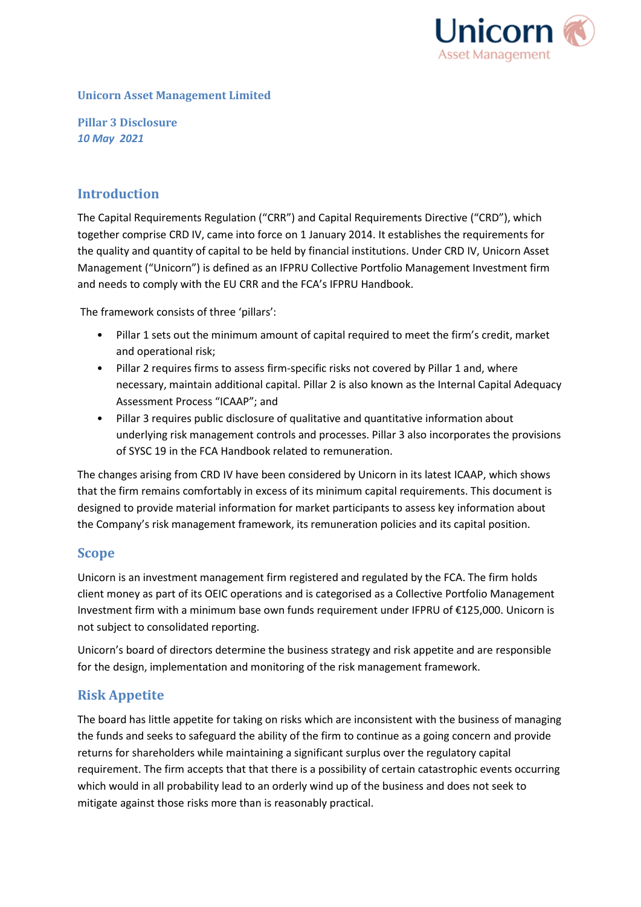

#### **Unicorn Asset Management Limited**

**Pillar 3 Disclosure** *10 May 2021* 

## **Introduction**

The Capital Requirements Regulation ("CRR") and Capital Requirements Directive ("CRD"), which together comprise CRD IV, came into force on 1 January 2014. It establishes the requirements for the quality and quantity of capital to be held by financial institutions. Under CRD IV, Unicorn Asset Management ("Unicorn") is defined as an IFPRU Collective Portfolio Management Investment firm and needs to comply with the EU CRR and the FCA's IFPRU Handbook.

The framework consists of three 'pillars':

- Pillar 1 sets out the minimum amount of capital required to meet the firm's credit, market and operational risk;
- Pillar 2 requires firms to assess firm-specific risks not covered by Pillar 1 and, where necessary, maintain additional capital. Pillar 2 is also known as the Internal Capital Adequacy Assessment Process "ICAAP"; and
- Pillar 3 requires public disclosure of qualitative and quantitative information about underlying risk management controls and processes. Pillar 3 also incorporates the provisions of SYSC 19 in the FCA Handbook related to remuneration.

The changes arising from CRD IV have been considered by Unicorn in its latest ICAAP, which shows that the firm remains comfortably in excess of its minimum capital requirements. This document is designed to provide material information for market participants to assess key information about the Company's risk management framework, its remuneration policies and its capital position.

# **Scope**

Unicorn is an investment management firm registered and regulated by the FCA. The firm holds client money as part of its OEIC operations and is categorised as a Collective Portfolio Management Investment firm with a minimum base own funds requirement under IFPRU of €125,000. Unicorn is not subject to consolidated reporting.

Unicorn's board of directors determine the business strategy and risk appetite and are responsible for the design, implementation and monitoring of the risk management framework.

# **Risk Appetite**

The board has little appetite for taking on risks which are inconsistent with the business of managing the funds and seeks to safeguard the ability of the firm to continue as a going concern and provide returns for shareholders while maintaining a significant surplus over the regulatory capital requirement. The firm accepts that that there is a possibility of certain catastrophic events occurring which would in all probability lead to an orderly wind up of the business and does not seek to mitigate against those risks more than is reasonably practical.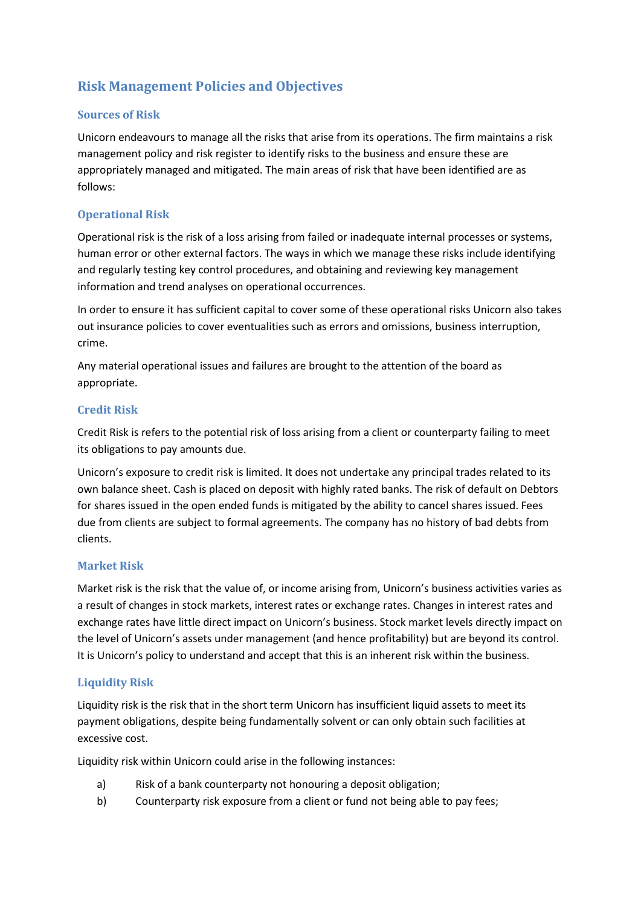# **Risk Management Policies and Objectives**

#### **Sources of Risk**

Unicorn endeavours to manage all the risks that arise from its operations. The firm maintains a risk management policy and risk register to identify risks to the business and ensure these are appropriately managed and mitigated. The main areas of risk that have been identified are as follows:

### **Operational Risk**

Operational risk is the risk of a loss arising from failed or inadequate internal processes or systems, human error or other external factors. The ways in which we manage these risks include identifying and regularly testing key control procedures, and obtaining and reviewing key management information and trend analyses on operational occurrences.

In order to ensure it has sufficient capital to cover some of these operational risks Unicorn also takes out insurance policies to cover eventualities such as errors and omissions, business interruption, crime.

Any material operational issues and failures are brought to the attention of the board as appropriate.

#### **Credit Risk**

Credit Risk is refers to the potential risk of loss arising from a client or counterparty failing to meet its obligations to pay amounts due.

Unicorn's exposure to credit risk is limited. It does not undertake any principal trades related to its own balance sheet. Cash is placed on deposit with highly rated banks. The risk of default on Debtors for shares issued in the open ended funds is mitigated by the ability to cancel shares issued. Fees due from clients are subject to formal agreements. The company has no history of bad debts from clients.

#### **Market Risk**

Market risk is the risk that the value of, or income arising from, Unicorn's business activities varies as a result of changes in stock markets, interest rates or exchange rates. Changes in interest rates and exchange rates have little direct impact on Unicorn's business. Stock market levels directly impact on the level of Unicorn's assets under management (and hence profitability) but are beyond its control. It is Unicorn's policy to understand and accept that this is an inherent risk within the business.

#### **Liquidity Risk**

Liquidity risk is the risk that in the short term Unicorn has insufficient liquid assets to meet its payment obligations, despite being fundamentally solvent or can only obtain such facilities at excessive cost.

Liquidity risk within Unicorn could arise in the following instances:

- a) Risk of a bank counterparty not honouring a deposit obligation;
- b) Counterparty risk exposure from a client or fund not being able to pay fees;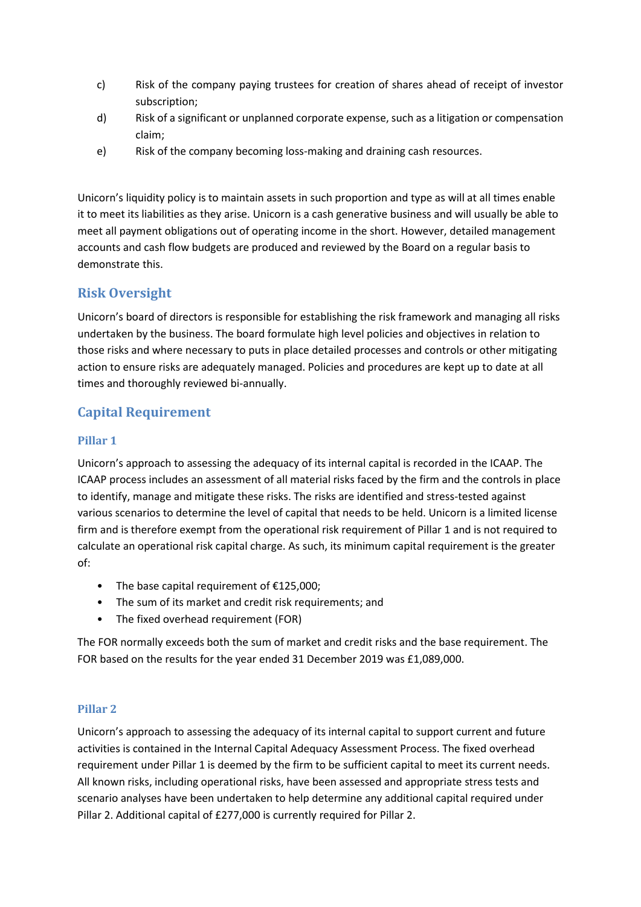- c) Risk of the company paying trustees for creation of shares ahead of receipt of investor subscription;
- d) Risk of a significant or unplanned corporate expense, such as a litigation or compensation claim;
- e) Risk of the company becoming loss-making and draining cash resources.

Unicorn's liquidity policy is to maintain assets in such proportion and type as will at all times enable it to meet its liabilities as they arise. Unicorn is a cash generative business and will usually be able to meet all payment obligations out of operating income in the short. However, detailed management accounts and cash flow budgets are produced and reviewed by the Board on a regular basis to demonstrate this.

# **Risk Oversight**

Unicorn's board of directors is responsible for establishing the risk framework and managing all risks undertaken by the business. The board formulate high level policies and objectives in relation to those risks and where necessary to puts in place detailed processes and controls or other mitigating action to ensure risks are adequately managed. Policies and procedures are kept up to date at all times and thoroughly reviewed bi-annually.

# **Capital Requirement**

### **Pillar 1**

Unicorn's approach to assessing the adequacy of its internal capital is recorded in the ICAAP. The ICAAP process includes an assessment of all material risks faced by the firm and the controls in place to identify, manage and mitigate these risks. The risks are identified and stress-tested against various scenarios to determine the level of capital that needs to be held. Unicorn is a limited license firm and is therefore exempt from the operational risk requirement of Pillar 1 and is not required to calculate an operational risk capital charge. As such, its minimum capital requirement is the greater of:

- The base capital requirement of €125,000;
- The sum of its market and credit risk requirements; and
- The fixed overhead requirement (FOR)

The FOR normally exceeds both the sum of market and credit risks and the base requirement. The FOR based on the results for the year ended 31 December 2019 was £1,089,000.

## **Pillar 2**

Unicorn's approach to assessing the adequacy of its internal capital to support current and future activities is contained in the Internal Capital Adequacy Assessment Process. The fixed overhead requirement under Pillar 1 is deemed by the firm to be sufficient capital to meet its current needs. All known risks, including operational risks, have been assessed and appropriate stress tests and scenario analyses have been undertaken to help determine any additional capital required under Pillar 2. Additional capital of £277,000 is currently required for Pillar 2.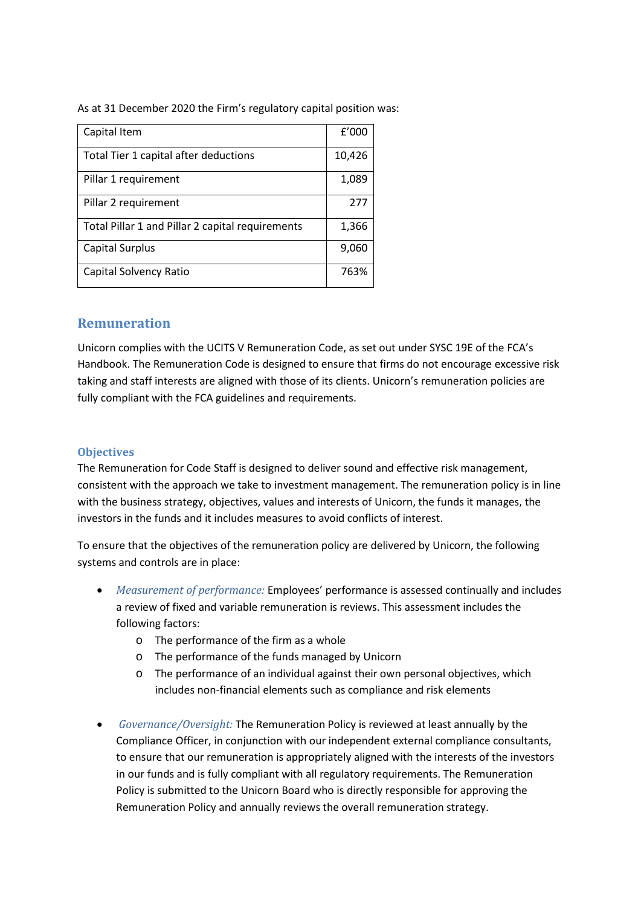As at 31 December 2020 the Firm's regulatory capital position was:

| Capital Item                                     | f'000  |
|--------------------------------------------------|--------|
| Total Tier 1 capital after deductions            | 10,426 |
| Pillar 1 requirement                             | 1,089  |
| Pillar 2 requirement                             | 277    |
| Total Pillar 1 and Pillar 2 capital requirements | 1,366  |
| Capital Surplus                                  | 9,060  |
| Capital Solvency Ratio                           | 763%   |

## **Remuneration**

Unicorn complies with the UCITS V Remuneration Code, as set out under SYSC 19E of the FCA's Handbook. The Remuneration Code is designed to ensure that firms do not encourage excessive risk taking and staff interests are aligned with those of its clients. Unicorn's remuneration policies are fully compliant with the FCA guidelines and requirements.

#### **Objectives**

The Remuneration for Code Staff is designed to deliver sound and effective risk management, consistent with the approach we take to investment management. The remuneration policy is in line with the business strategy, objectives, values and interests of Unicorn, the funds it manages, the investors in the funds and it includes measures to avoid conflicts of interest.

To ensure that the objectives of the remuneration policy are delivered by Unicorn, the following systems and controls are in place:

- *Measurement of performance:* Employees' performance is assessed continually and includes a review of fixed and variable remuneration is reviews. This assessment includes the following factors:
	- o The performance of the firm as a whole
	- o The performance of the funds managed by Unicorn
	- o The performance of an individual against their own personal objectives, which includes non-financial elements such as compliance and risk elements
- *Governance/Oversight:* The Remuneration Policy is reviewed at least annually by the Compliance Officer, in conjunction with our independent external compliance consultants, to ensure that our remuneration is appropriately aligned with the interests of the investors in our funds and is fully compliant with all regulatory requirements. The Remuneration Policy is submitted to the Unicorn Board who is directly responsible for approving the Remuneration Policy and annually reviews the overall remuneration strategy.